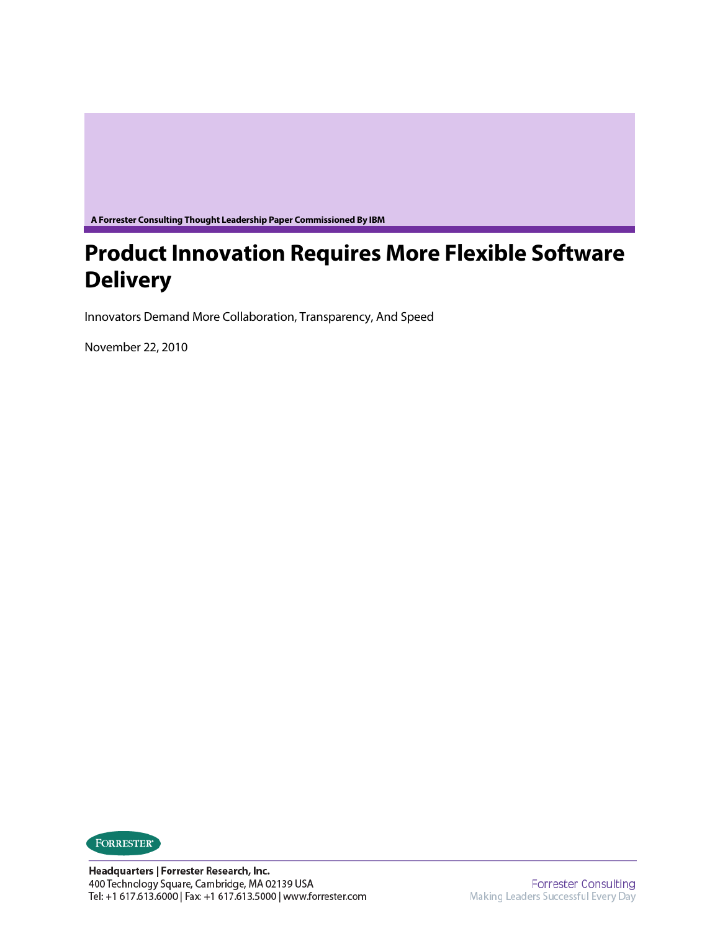**A Forrester Consulting Thought Leadership Paper Commissioned By IBM** 

# **Product Innovation Requires More Flexible Software Delivery**

Innovators Demand More Collaboration, Transparency, And Speed

November 22, 2010

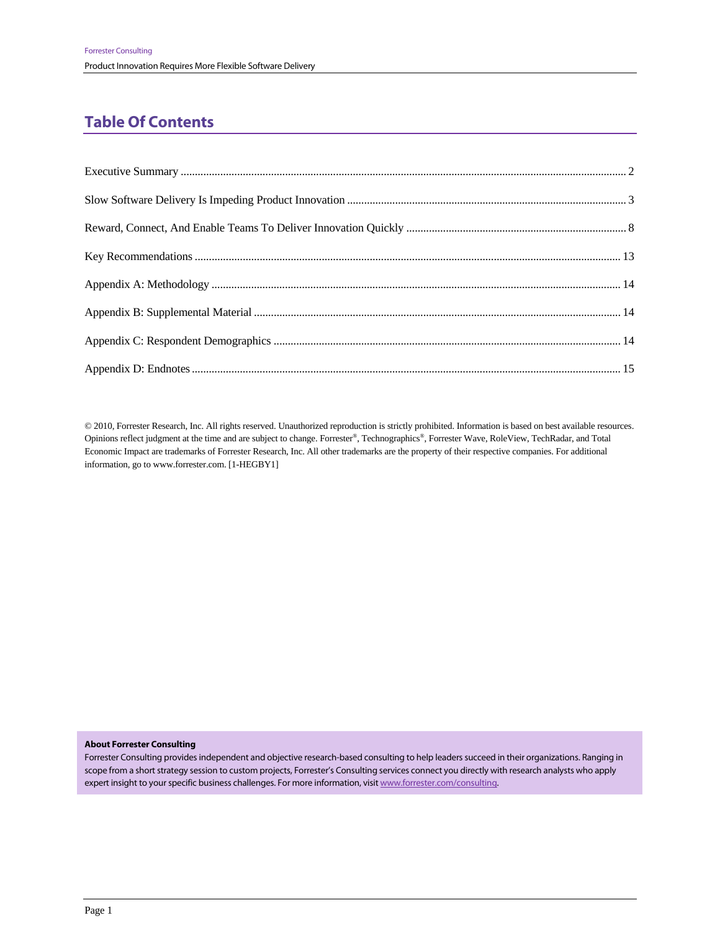## **Table Of Contents**

© 2010, Forrester Research, Inc. All rights reserved. Unauthorized reproduction is strictly prohibited. Information is based on best available resources. Opinions reflect judgment at the time and are subject to change. Forrester®, Technographics®, Forrester Wave, RoleView, TechRadar, and Total Economic Impact are trademarks of Forrester Research, Inc. All other trademarks are the property of their respective companies. For additional information, go to www.forrester.com. [1-HEGBY1]

#### **About Forrester Consulting**

Forrester Consulting provides independent and objective research-based consulting to help leaders succeed in their organizations. Ranging in scope from a short strategy session to custom projects, Forrester's Consulting services connect you directly with research analysts who apply expert insight to your specific business challenges. For more information, visit www.forrester.com/consulting.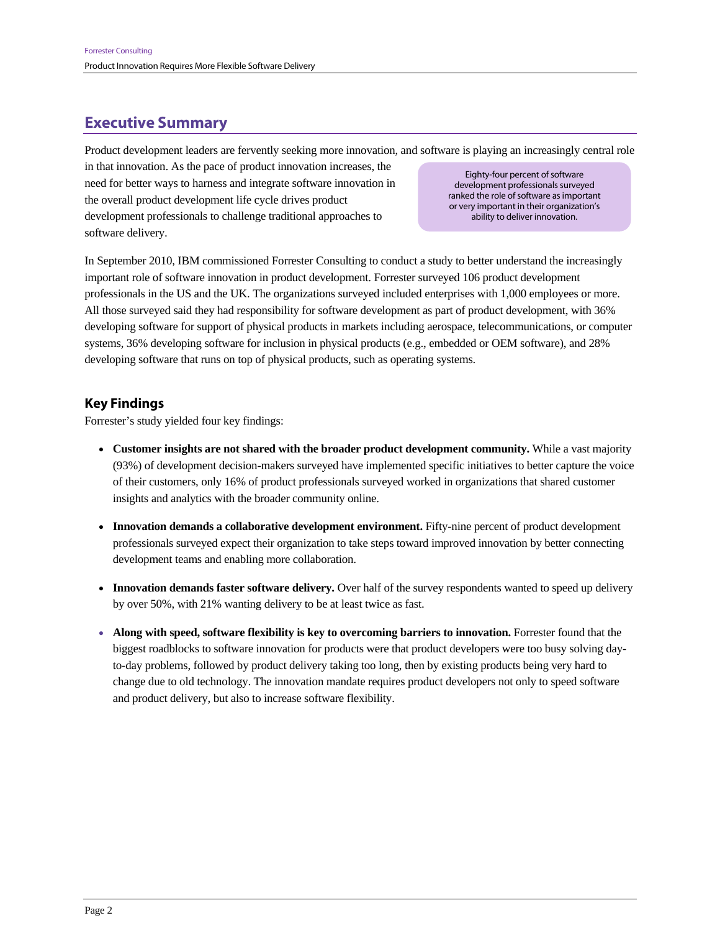## **Executive Summary**

Product development leaders are fervently seeking more innovation, and software is playing an increasingly central role

in that innovation. As the pace of product innovation increases, the need for better ways to harness and integrate software innovation in the overall product development life cycle drives product development professionals to challenge traditional approaches to software delivery.

Eighty-four percent of software development professionals surveyed ranked the role of software as important or very important in their organization's ability to deliver innovation.

In September 2010, IBM commissioned Forrester Consulting to conduct a study to better understand the increasingly important role of software innovation in product development. Forrester surveyed 106 product development professionals in the US and the UK. The organizations surveyed included enterprises with 1,000 employees or more. All those surveyed said they had responsibility for software development as part of product development, with 36% developing software for support of physical products in markets including aerospace, telecommunications, or computer systems, 36% developing software for inclusion in physical products (e.g., embedded or OEM software), and 28% developing software that runs on top of physical products, such as operating systems.

## **Key Findings**

Forrester's study yielded four key findings:

- **Customer insights are not shared with the broader product development community.** While a vast majority (93%) of development decision-makers surveyed have implemented specific initiatives to better capture the voice of their customers, only 16% of product professionals surveyed worked in organizations that shared customer insights and analytics with the broader community online.
- **Innovation demands a collaborative development environment.** Fifty-nine percent of product development professionals surveyed expect their organization to take steps toward improved innovation by better connecting development teams and enabling more collaboration.
- **Innovation demands faster software delivery.** Over half of the survey respondents wanted to speed up delivery by over 50%, with 21% wanting delivery to be at least twice as fast.
- **Along with speed, software flexibility is key to overcoming barriers to innovation.** Forrester found that the biggest roadblocks to software innovation for products were that product developers were too busy solving dayto-day problems, followed by product delivery taking too long, then by existing products being very hard to change due to old technology. The innovation mandate requires product developers not only to speed software and product delivery, but also to increase software flexibility.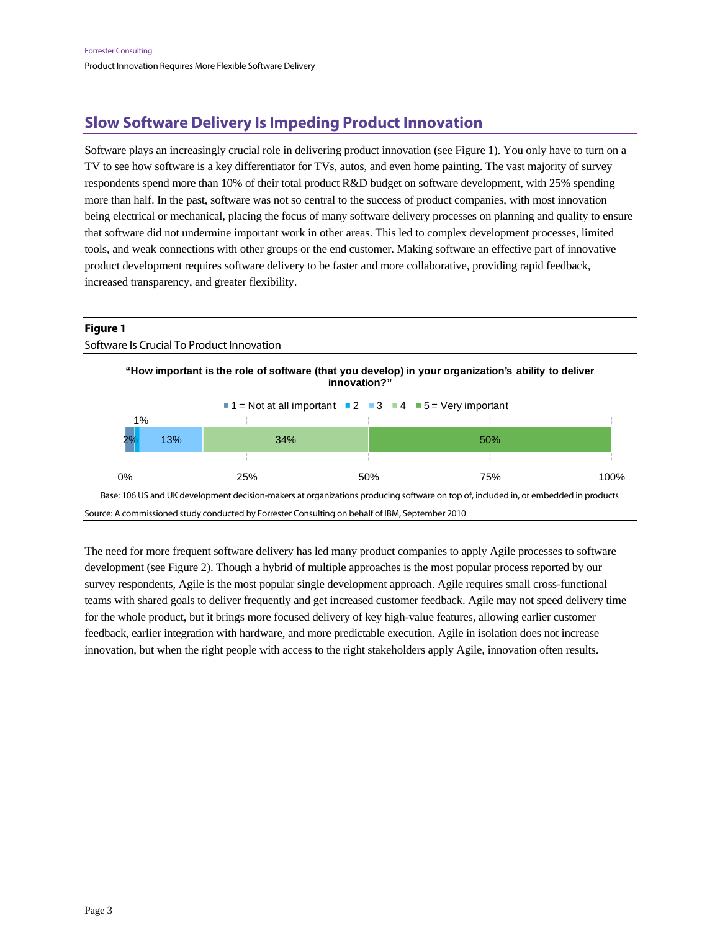## **Slow Software Delivery Is Impeding Product Innovation**

Software plays an increasingly crucial role in delivering product innovation (see Figure 1). You only have to turn on a TV to see how software is a key differentiator for TVs, autos, and even home painting. The vast majority of survey respondents spend more than 10% of their total product R&D budget on software development, with 25% spending more than half. In the past, software was not so central to the success of product companies, with most innovation being electrical or mechanical, placing the focus of many software delivery processes on planning and quality to ensure that software did not undermine important work in other areas. This led to complex development processes, limited tools, and weak connections with other groups or the end customer. Making software an effective part of innovative product development requires software delivery to be faster and more collaborative, providing rapid feedback, increased transparency, and greater flexibility.



The need for more frequent software delivery has led many product companies to apply Agile processes to software development (see Figure 2). Though a hybrid of multiple approaches is the most popular process reported by our survey respondents, Agile is the most popular single development approach. Agile requires small cross-functional teams with shared goals to deliver frequently and get increased customer feedback. Agile may not speed delivery time for the whole product, but it brings more focused delivery of key high-value features, allowing earlier customer feedback, earlier integration with hardware, and more predictable execution. Agile in isolation does not increase innovation, but when the right people with access to the right stakeholders apply Agile, innovation often results.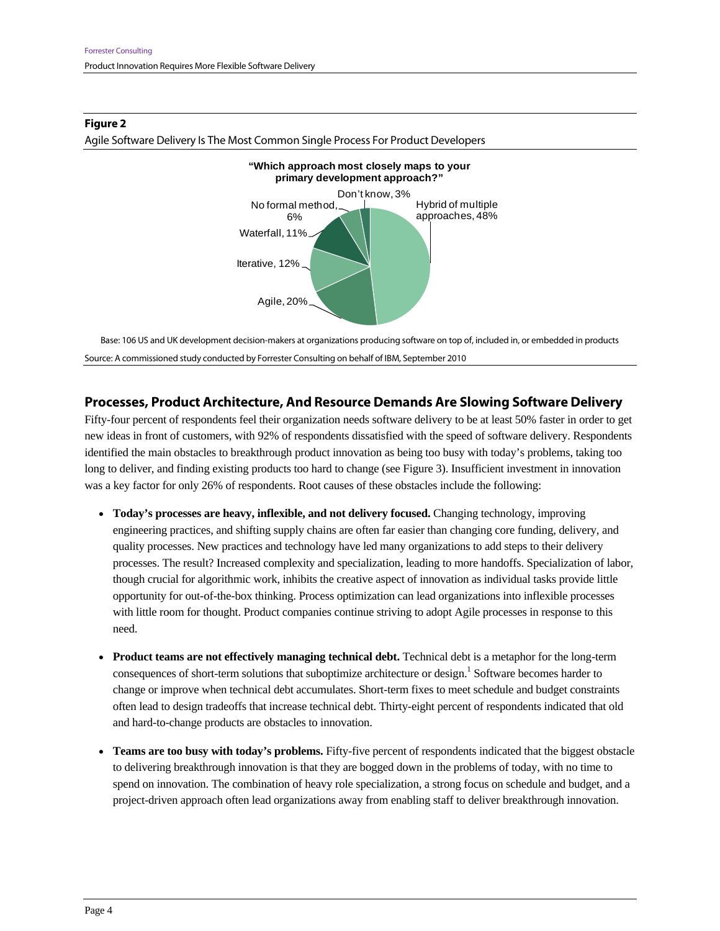

#### **Figure 2**

Agile Software Delivery Is The Most Common Single Process For Product Developers

Base: 106 US and UK development decision-makers at organizations producing software on top of, included in, or embedded in products Source: A commissioned study conducted by Forrester Consulting on behalf of IBM, September 2010

### **Processes, Product Architecture, And Resource Demands Are Slowing Software Delivery**

Fifty-four percent of respondents feel their organization needs software delivery to be at least 50% faster in order to get new ideas in front of customers, with 92% of respondents dissatisfied with the speed of software delivery. Respondents identified the main obstacles to breakthrough product innovation as being too busy with today's problems, taking too long to deliver, and finding existing products too hard to change (see Figure 3). Insufficient investment in innovation was a key factor for only 26% of respondents. Root causes of these obstacles include the following:

- **Today's processes are heavy, inflexible, and not delivery focused.** Changing technology, improving engineering practices, and shifting supply chains are often far easier than changing core funding, delivery, and quality processes. New practices and technology have led many organizations to add steps to their delivery processes. The result? Increased complexity and specialization, leading to more handoffs. Specialization of labor, though crucial for algorithmic work, inhibits the creative aspect of innovation as individual tasks provide little opportunity for out-of-the-box thinking. Process optimization can lead organizations into inflexible processes with little room for thought. Product companies continue striving to adopt Agile processes in response to this need.
- **Product teams are not effectively managing technical debt.** Technical debt is a metaphor for the long-term consequences of short-term solutions that suboptimize architecture or design.<sup>1</sup> Software becomes harder to change or improve when technical debt accumulates. Short-term fixes to meet schedule and budget constraints often lead to design tradeoffs that increase technical debt. Thirty-eight percent of respondents indicated that old and hard-to-change products are obstacles to innovation.
- **Teams are too busy with today's problems.** Fifty-five percent of respondents indicated that the biggest obstacle to delivering breakthrough innovation is that they are bogged down in the problems of today, with no time to spend on innovation. The combination of heavy role specialization, a strong focus on schedule and budget, and a project-driven approach often lead organizations away from enabling staff to deliver breakthrough innovation.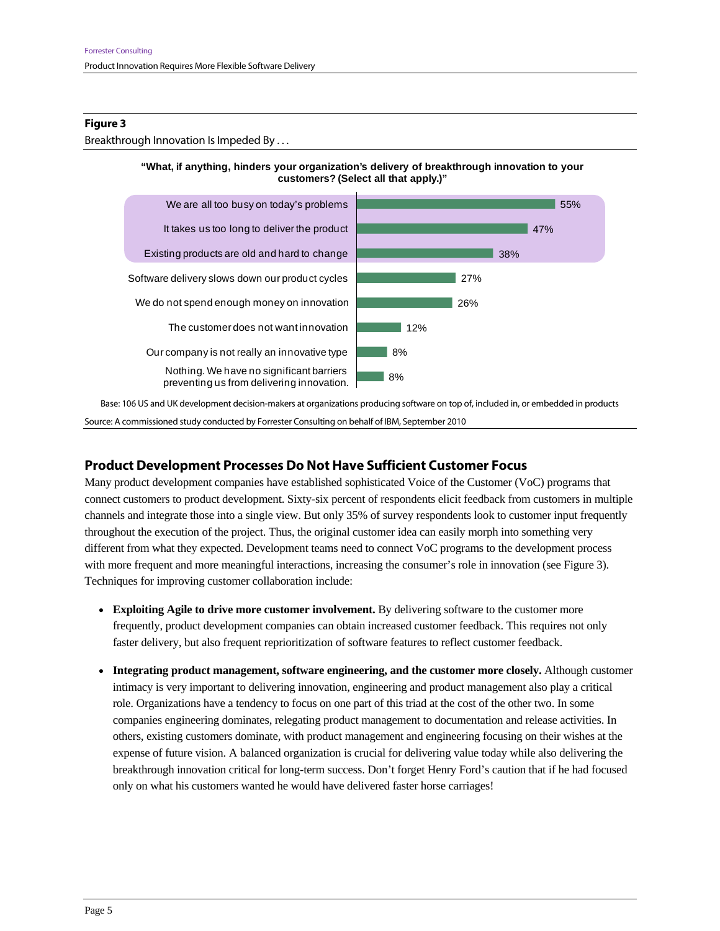#### **Figure 3**

Breakthrough Innovation Is Impeded By . . .





Base: 106 US and UK development decision-makers at organizations producing software on top of, included in, or embedded in products Source: A commissioned study conducted by Forrester Consulting on behalf of IBM, September 2010

### **Product Development Processes Do Not Have Sufficient Customer Focus**

Many product development companies have established sophisticated Voice of the Customer (VoC) programs that connect customers to product development. Sixty-six percent of respondents elicit feedback from customers in multiple channels and integrate those into a single view. But only 35% of survey respondents look to customer input frequently throughout the execution of the project. Thus, the original customer idea can easily morph into something very different from what they expected. Development teams need to connect VoC programs to the development process with more frequent and more meaningful interactions, increasing the consumer's role in innovation (see Figure 3). Techniques for improving customer collaboration include:

- **Exploiting Agile to drive more customer involvement.** By delivering software to the customer more frequently, product development companies can obtain increased customer feedback. This requires not only faster delivery, but also frequent reprioritization of software features to reflect customer feedback.
- **Integrating product management, software engineering, and the customer more closely.** Although customer intimacy is very important to delivering innovation, engineering and product management also play a critical role. Organizations have a tendency to focus on one part of this triad at the cost of the other two. In some companies engineering dominates, relegating product management to documentation and release activities. In others, existing customers dominate, with product management and engineering focusing on their wishes at the expense of future vision. A balanced organization is crucial for delivering value today while also delivering the breakthrough innovation critical for long-term success. Don't forget Henry Ford's caution that if he had focused only on what his customers wanted he would have delivered faster horse carriages!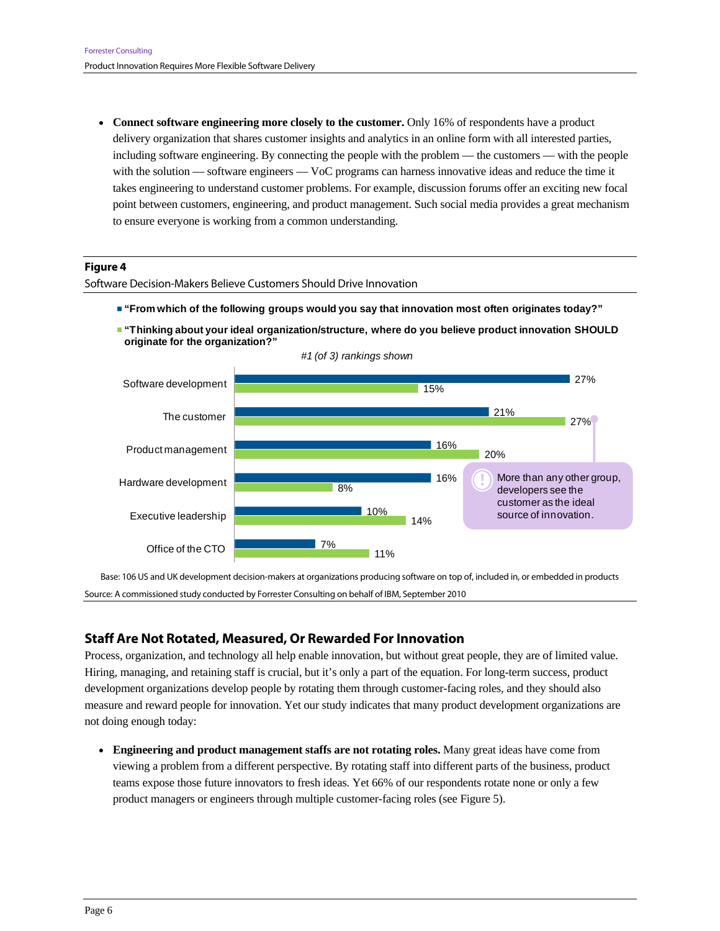• Connect software engineering more closely to the customer. Only 16% of respondents have a product delivery organization that shares customer insights and analytics in an online form with all interested parties, including software engineering. By connecting the people with the problem — the customers — with the people with the solution — software engineers — VoC programs can harness innovative ideas and reduce the time it takes engineering to understand customer problems. For example, discussion forums offer an exciting new focal point between customers, engineering, and product management. Such social media provides a great mechanism to ensure everyone is working from a common understanding.

#### **Figure 4**

Software Decision-Makers Believe Customers Should Drive Innovation

- **"From which of the following groups would you say that innovation most often originates today?"**
- **"Thinking about your ideal organization/structure, where do you believe product innovation SHOULD originate for the organization?"**



*#1 (of 3) rankings shown*

Base: 106 US and UK development decision-makers at organizations producing software on top of, included in, or embedded in products Source: A commissioned study conducted by Forrester Consulting on behalf of IBM, September 2010

### **Staff Are Not Rotated, Measured, Or Rewarded For Innovation**

Process, organization, and technology all help enable innovation, but without great people, they are of limited value. Hiring, managing, and retaining staff is crucial, but it's only a part of the equation. For long-term success, product development organizations develop people by rotating them through customer-facing roles, and they should also measure and reward people for innovation. Yet our study indicates that many product development organizations are not doing enough today:

 **Engineering and product management staffs are not rotating roles.** Many great ideas have come from viewing a problem from a different perspective. By rotating staff into different parts of the business, product teams expose those future innovators to fresh ideas. Yet 66% of our respondents rotate none or only a few product managers or engineers through multiple customer-facing roles (see Figure 5).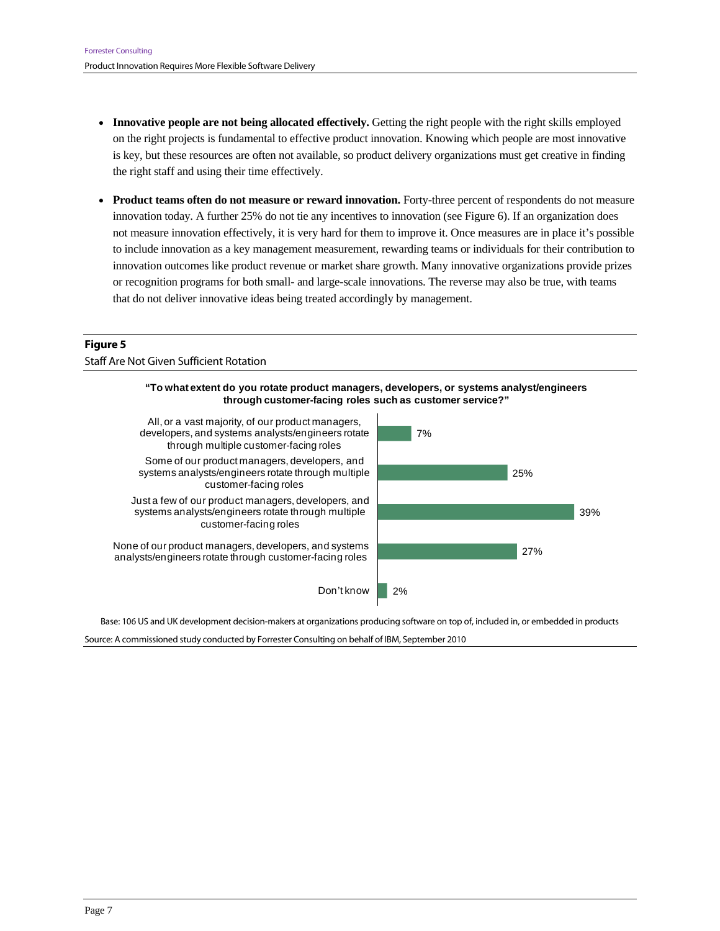- **Innovative people are not being allocated effectively.** Getting the right people with the right skills employed on the right projects is fundamental to effective product innovation. Knowing which people are most innovative is key, but these resources are often not available, so product delivery organizations must get creative in finding the right staff and using their time effectively.
- **Product teams often do not measure or reward innovation.** Forty-three percent of respondents do not measure innovation today. A further 25% do not tie any incentives to innovation (see Figure 6). If an organization does not measure innovation effectively, it is very hard for them to improve it. Once measures are in place it's possible to include innovation as a key management measurement, rewarding teams or individuals for their contribution to innovation outcomes like product revenue or market share growth. Many innovative organizations provide prizes or recognition programs for both small- and large-scale innovations. The reverse may also be true, with teams that do not deliver innovative ideas being treated accordingly by management.

### **Figure 5**  Staff Are Not Given Sufficient Rotation



Base: 106 US and UK development decision-makers at organizations producing software on top of, included in, or embedded in products

Source: A commissioned study conducted by Forrester Consulting on behalf of IBM, September 2010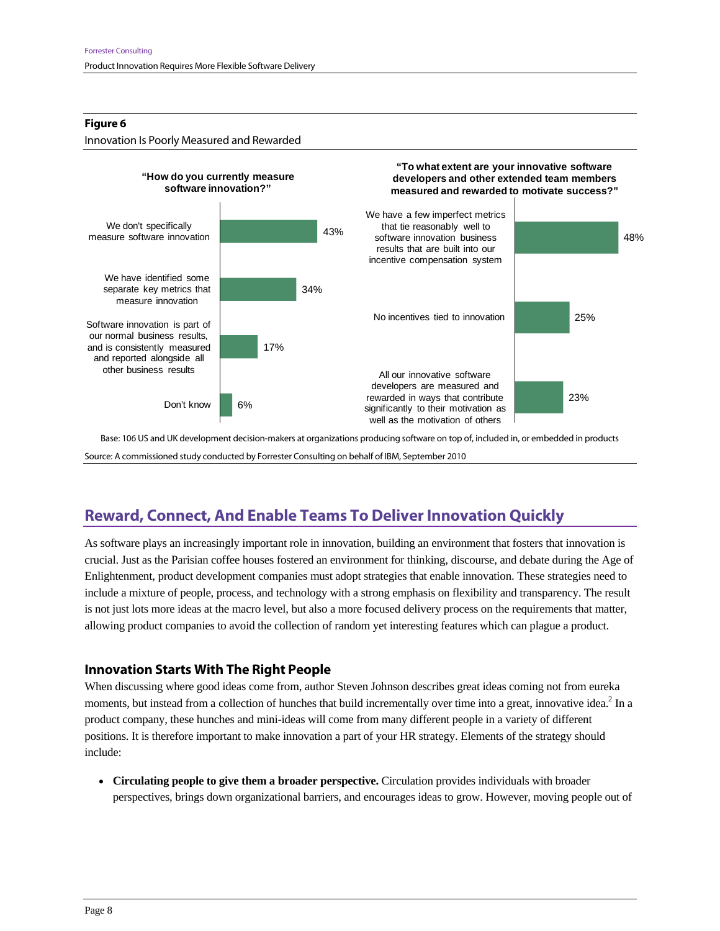#### **Figure 6**



Base: 106 US and UK development decision-makers at organizations producing software on top of, included in, or embedded in products Source: A commissioned study conducted by Forrester Consulting on behalf of IBM, September 2010

## **Reward, Connect, And Enable Teams To Deliver Innovation Quickly**

As software plays an increasingly important role in innovation, building an environment that fosters that innovation is crucial. Just as the Parisian coffee houses fostered an environment for thinking, discourse, and debate during the Age of Enlightenment, product development companies must adopt strategies that enable innovation. These strategies need to include a mixture of people, process, and technology with a strong emphasis on flexibility and transparency. The result is not just lots more ideas at the macro level, but also a more focused delivery process on the requirements that matter, allowing product companies to avoid the collection of random yet interesting features which can plague a product.

## **Innovation Starts With The Right People**

When discussing where good ideas come from, author Steven Johnson describes great ideas coming not from eureka moments, but instead from a collection of hunches that build incrementally over time into a great, innovative idea.<sup>2</sup> In a product company, these hunches and mini-ideas will come from many different people in a variety of different positions. It is therefore important to make innovation a part of your HR strategy. Elements of the strategy should include:

 **Circulating people to give them a broader perspective.** Circulation provides individuals with broader perspectives, brings down organizational barriers, and encourages ideas to grow. However, moving people out of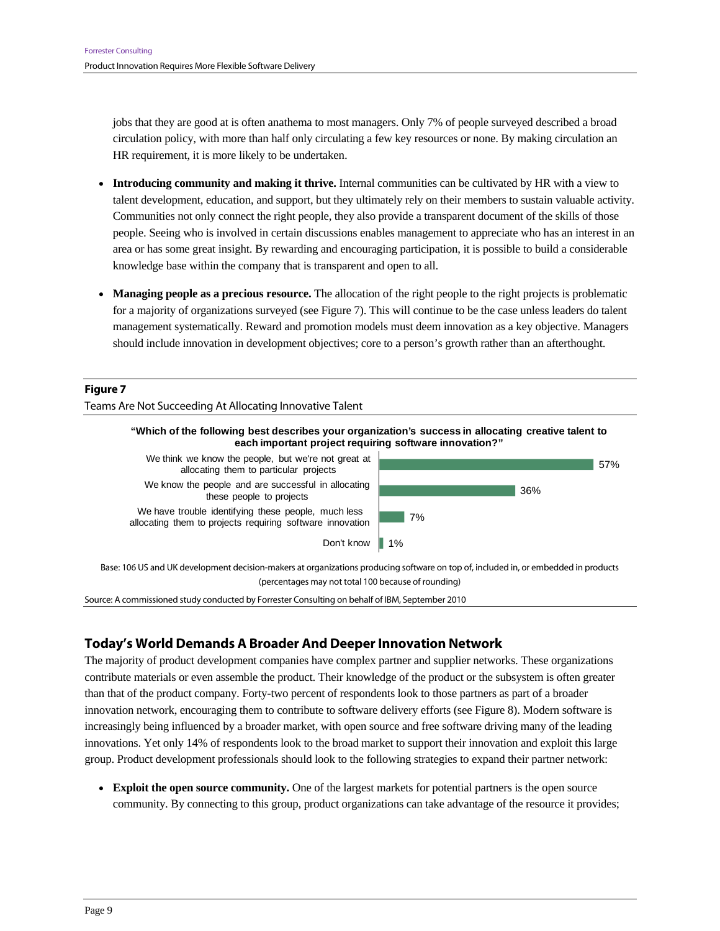jobs that they are good at is often anathema to most managers. Only 7% of people surveyed described a broad circulation policy, with more than half only circulating a few key resources or none. By making circulation an HR requirement, it is more likely to be undertaken.

- **Introducing community and making it thrive.** Internal communities can be cultivated by HR with a view to talent development, education, and support, but they ultimately rely on their members to sustain valuable activity. Communities not only connect the right people, they also provide a transparent document of the skills of those people. Seeing who is involved in certain discussions enables management to appreciate who has an interest in an area or has some great insight. By rewarding and encouraging participation, it is possible to build a considerable knowledge base within the company that is transparent and open to all.
- **Managing people as a precious resource.** The allocation of the right people to the right projects is problematic for a majority of organizations surveyed (see Figure 7). This will continue to be the case unless leaders do talent management systematically. Reward and promotion models must deem innovation as a key objective. Managers should include innovation in development objectives; core to a person's growth rather than an afterthought.

#### **Figure 7**

Teams Are Not Succeeding At Allocating Innovative Talent



We think we know the people, but we're not great at allocating them to particular projects We know the people and are successful in allocating these people to projects

We have trouble identifying these people, much less allocating them to projects requiring software innovation

Don't know



57%

Base: 106 US and UK development decision-makers at organizations producing software on top of, included in, or embedded in products (percentages may not total 100 because of rounding)

Source: A commissioned study conducted by Forrester Consulting on behalf of IBM, September 2010

### **Today's World Demands A Broader And Deeper Innovation Network**

The majority of product development companies have complex partner and supplier networks. These organizations contribute materials or even assemble the product. Their knowledge of the product or the subsystem is often greater than that of the product company. Forty-two percent of respondents look to those partners as part of a broader innovation network, encouraging them to contribute to software delivery efforts (see Figure 8). Modern software is increasingly being influenced by a broader market, with open source and free software driving many of the leading innovations. Yet only 14% of respondents look to the broad market to support their innovation and exploit this large group. Product development professionals should look to the following strategies to expand their partner network:

 **Exploit the open source community.** One of the largest markets for potential partners is the open source community. By connecting to this group, product organizations can take advantage of the resource it provides;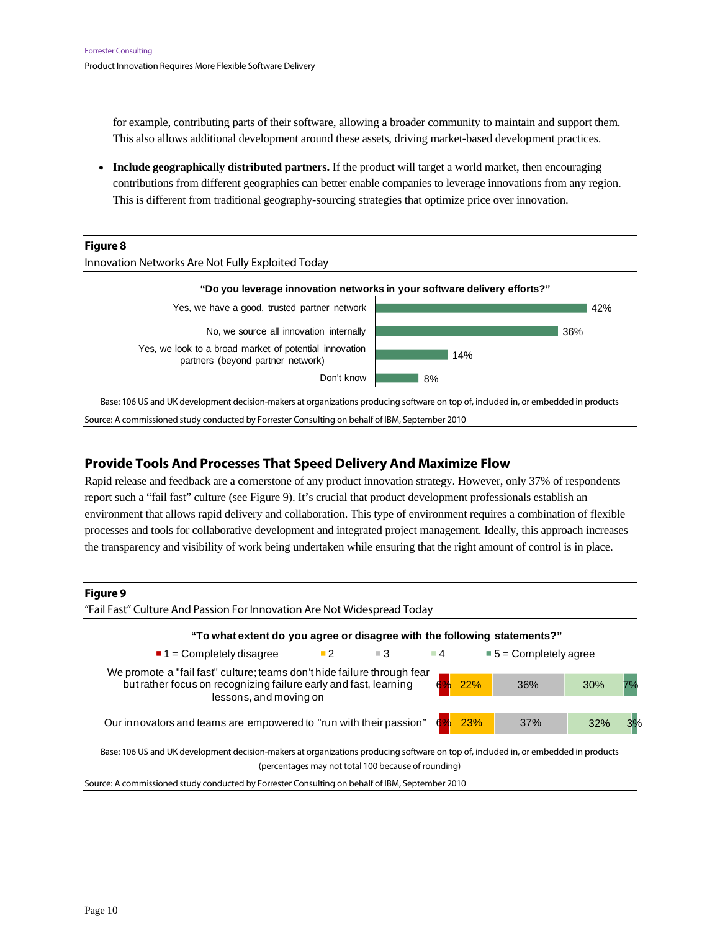for example, contributing parts of their software, allowing a broader community to maintain and support them. This also allows additional development around these assets, driving market-based development practices.

 **Include geographically distributed partners.** If the product will target a world market, then encouraging contributions from different geographies can better enable companies to leverage innovations from any region. This is different from traditional geography-sourcing strategies that optimize price over innovation.





Source: A commissioned study conducted by Forrester Consulting on behalf of IBM, September 2010

### **Provide Tools And Processes That Speed Delivery And Maximize Flow**

Rapid release and feedback are a cornerstone of any product innovation strategy. However, only 37% of respondents report such a "fail fast" culture (see Figure 9). It's crucial that product development professionals establish an environment that allows rapid delivery and collaboration. This type of environment requires a combination of flexible processes and tools for collaborative development and integrated project management. Ideally, this approach increases the transparency and visibility of work being undertaken while ensuring that the right amount of control is in place.



"Fail Fast" Culture And Passion For Innovation Are Not Widespread Today

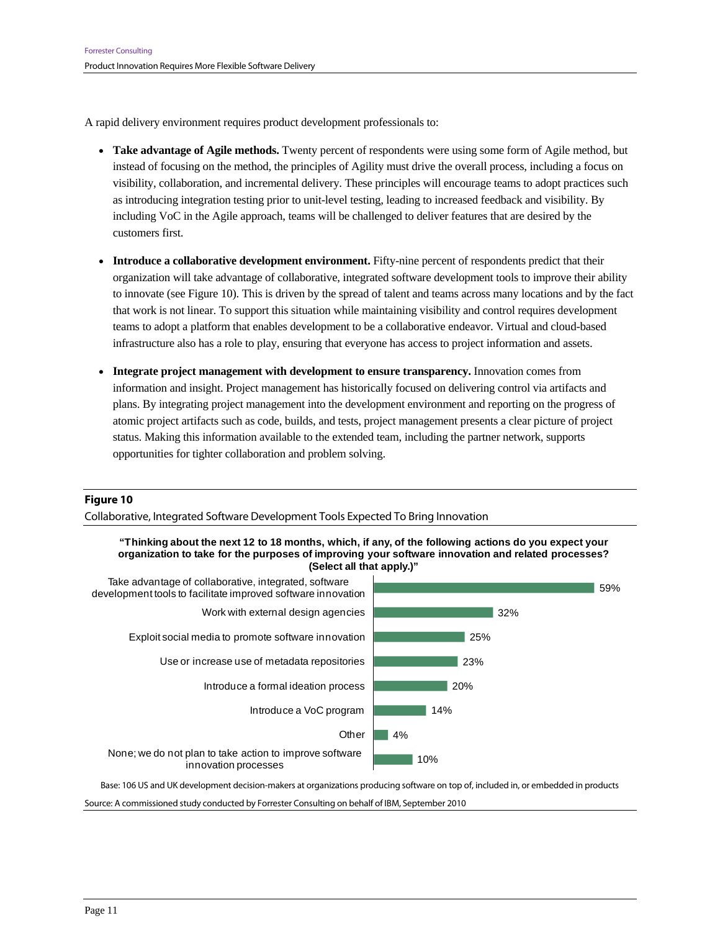A rapid delivery environment requires product development professionals to:

- **Take advantage of Agile methods.** Twenty percent of respondents were using some form of Agile method, but instead of focusing on the method, the principles of Agility must drive the overall process, including a focus on visibility, collaboration, and incremental delivery. These principles will encourage teams to adopt practices such as introducing integration testing prior to unit-level testing, leading to increased feedback and visibility. By including VoC in the Agile approach, teams will be challenged to deliver features that are desired by the customers first.
- **Introduce a collaborative development environment.** Fifty-nine percent of respondents predict that their organization will take advantage of collaborative, integrated software development tools to improve their ability to innovate (see Figure 10). This is driven by the spread of talent and teams across many locations and by the fact that work is not linear. To support this situation while maintaining visibility and control requires development teams to adopt a platform that enables development to be a collaborative endeavor. Virtual and cloud-based infrastructure also has a role to play, ensuring that everyone has access to project information and assets.
- **Integrate project management with development to ensure transparency.** Innovation comes from information and insight. Project management has historically focused on delivering control via artifacts and plans. By integrating project management into the development environment and reporting on the progress of atomic project artifacts such as code, builds, and tests, project management presents a clear picture of project status. Making this information available to the extended team, including the partner network, supports opportunities for tighter collaboration and problem solving.

#### **Figure 10**

Collaborative, Integrated Software Development Tools Expected To Bring Innovation





Base: 106 US and UK development decision-makers at organizations producing software on top of, included in, or embedded in products

Source: A commissioned study conducted by Forrester Consulting on behalf of IBM, September 2010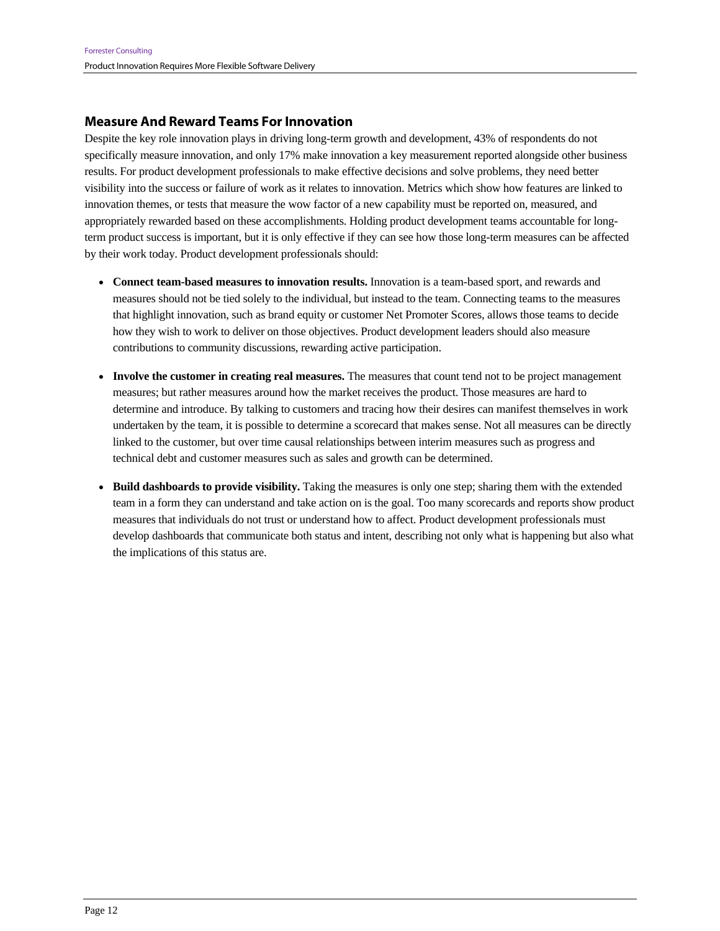### **Measure And Reward Teams For Innovation**

Despite the key role innovation plays in driving long-term growth and development, 43% of respondents do not specifically measure innovation, and only 17% make innovation a key measurement reported alongside other business results. For product development professionals to make effective decisions and solve problems, they need better visibility into the success or failure of work as it relates to innovation. Metrics which show how features are linked to innovation themes, or tests that measure the wow factor of a new capability must be reported on, measured, and appropriately rewarded based on these accomplishments. Holding product development teams accountable for longterm product success is important, but it is only effective if they can see how those long-term measures can be affected by their work today. Product development professionals should:

- **Connect team-based measures to innovation results.** Innovation is a team-based sport, and rewards and measures should not be tied solely to the individual, but instead to the team. Connecting teams to the measures that highlight innovation, such as brand equity or customer Net Promoter Scores, allows those teams to decide how they wish to work to deliver on those objectives. Product development leaders should also measure contributions to community discussions, rewarding active participation.
- **Involve the customer in creating real measures.** The measures that count tend not to be project management measures; but rather measures around how the market receives the product. Those measures are hard to determine and introduce. By talking to customers and tracing how their desires can manifest themselves in work undertaken by the team, it is possible to determine a scorecard that makes sense. Not all measures can be directly linked to the customer, but over time causal relationships between interim measures such as progress and technical debt and customer measures such as sales and growth can be determined.
- **Build dashboards to provide visibility.** Taking the measures is only one step; sharing them with the extended team in a form they can understand and take action on is the goal. Too many scorecards and reports show product measures that individuals do not trust or understand how to affect. Product development professionals must develop dashboards that communicate both status and intent, describing not only what is happening but also what the implications of this status are.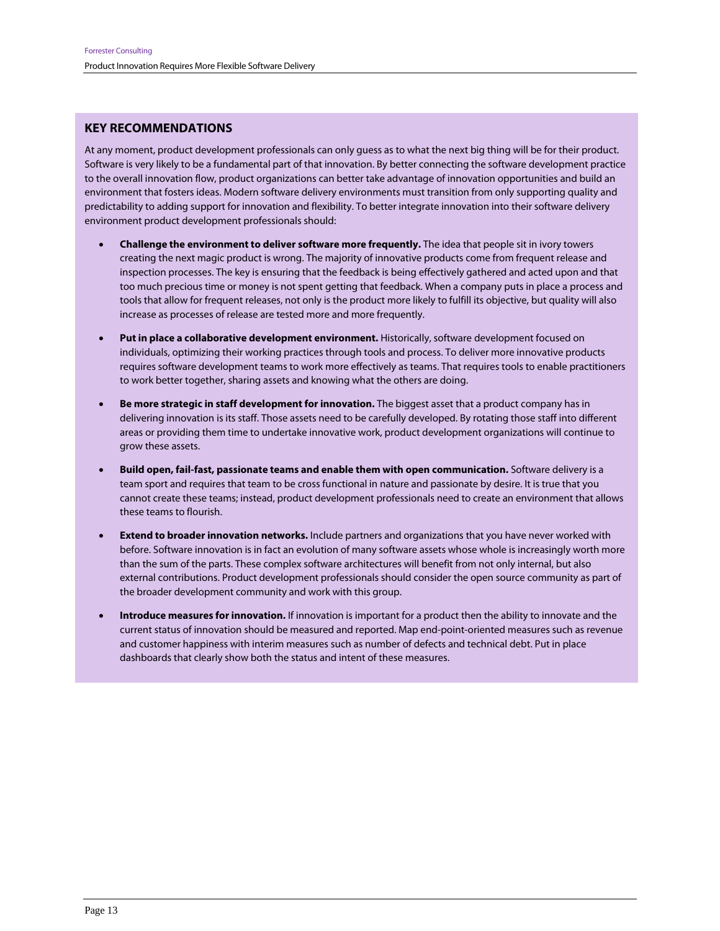#### **KEY RECOMMENDATIONS**

At any moment, product development professionals can only guess as to what the next big thing will be for their product. Software is very likely to be a fundamental part of that innovation. By better connecting the software development practice to the overall innovation flow, product organizations can better take advantage of innovation opportunities and build an environment that fosters ideas. Modern software delivery environments must transition from only supporting quality and predictability to adding support for innovation and flexibility. To better integrate innovation into their software delivery environment product development professionals should:

- **Challenge the environment to deliver software more frequently.** The idea that people sit in ivory towers creating the next magic product is wrong. The majority of innovative products come from frequent release and inspection processes. The key is ensuring that the feedback is being effectively gathered and acted upon and that too much precious time or money is not spent getting that feedback. When a company puts in place a process and tools that allow for frequent releases, not only is the product more likely to fulfill its objective, but quality will also increase as processes of release are tested more and more frequently.
- **Put in place a collaborative development environment.** Historically, software development focused on individuals, optimizing their working practices through tools and process. To deliver more innovative products requires software development teams to work more effectively as teams. That requires tools to enable practitioners to work better together, sharing assets and knowing what the others are doing.
- **Be more strategic in staff development for innovation.** The biggest asset that a product company has in delivering innovation is its staff. Those assets need to be carefully developed. By rotating those staff into different areas or providing them time to undertake innovative work, product development organizations will continue to grow these assets.
- **Build open, fail-fast, passionate teams and enable them with open communication.** Software delivery is a team sport and requires that team to be cross functional in nature and passionate by desire. It is true that you cannot create these teams; instead, product development professionals need to create an environment that allows these teams to flourish.
- **Extend to broader innovation networks.** Include partners and organizations that you have never worked with before. Software innovation is in fact an evolution of many software assets whose whole is increasingly worth more than the sum of the parts. These complex software architectures will benefit from not only internal, but also external contributions. Product development professionals should consider the open source community as part of the broader development community and work with this group.
- **Introduce measures for innovation.** If innovation is important for a product then the ability to innovate and the current status of innovation should be measured and reported. Map end-point-oriented measures such as revenue and customer happiness with interim measures such as number of defects and technical debt. Put in place dashboards that clearly show both the status and intent of these measures.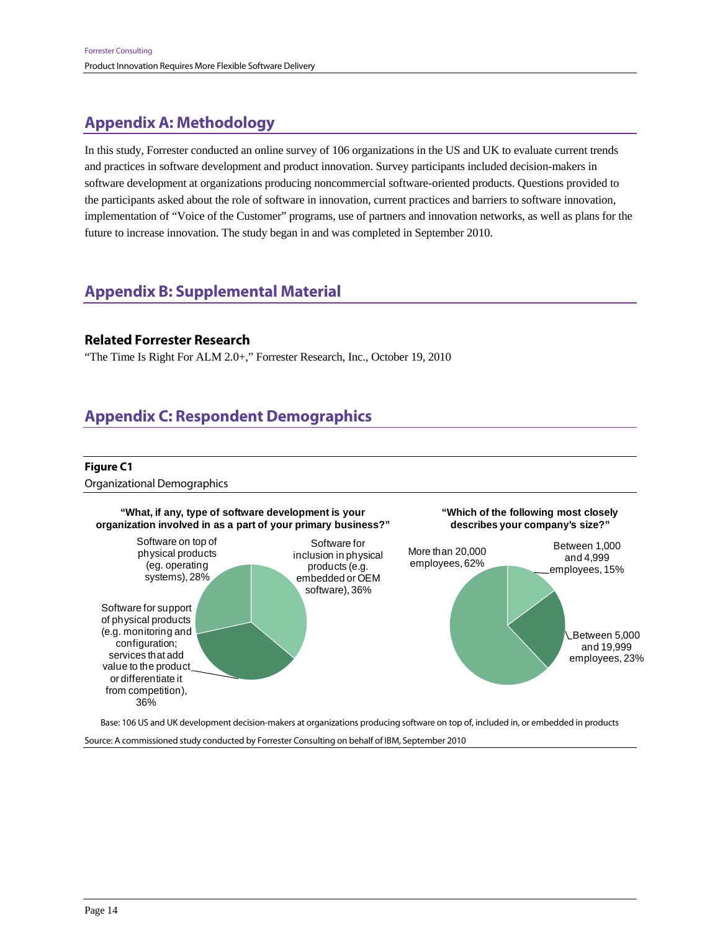## **Appendix A: Methodology**

In this study, Forrester conducted an online survey of 106 organizations in the US and UK to evaluate current trends and practices in software development and product innovation. Survey participants included decision-makers in software development at organizations producing noncommercial software-oriented products. Questions provided to the participants asked about the role of software in innovation, current practices and barriers to software innovation, implementation of "Voice of the Customer" programs, use of partners and innovation networks, as well as plans for the future to increase innovation. The study began in and was completed in September 2010.

## **Appendix B: Supplemental Material**

### **Related Forrester Research**

"The Time Is Right For ALM 2.0+," Forrester Research, Inc., October 19, 2010

## **Appendix C: Respondent Demographics**

#### **Figure C1**

Organizational Demographics



Source: A commissioned study conducted by Forrester Consulting on behalf of IBM, September 2010